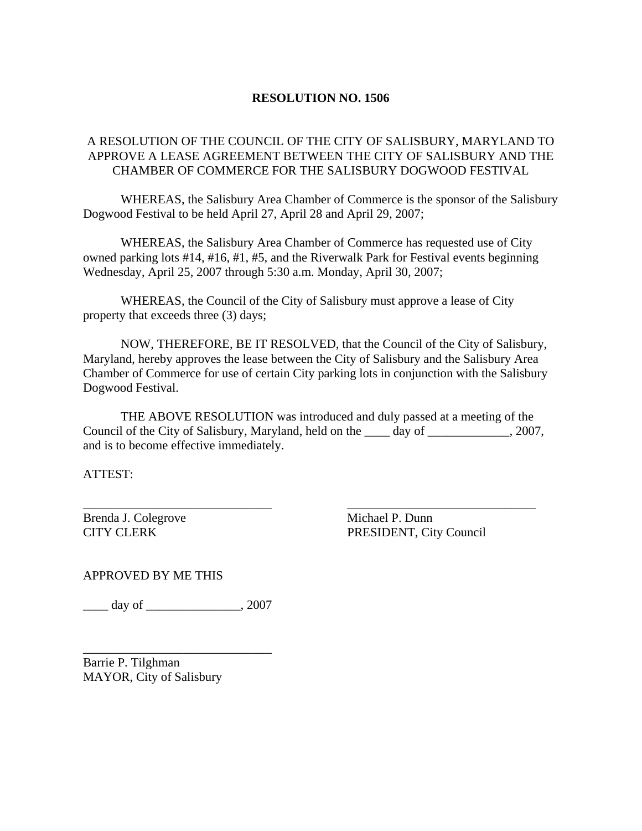## **RESOLUTION NO. 1506**

## A RESOLUTION OF THE COUNCIL OF THE CITY OF SALISBURY, MARYLAND TO APPROVE A LEASE AGREEMENT BETWEEN THE CITY OF SALISBURY AND THE CHAMBER OF COMMERCE FOR THE SALISBURY DOGWOOD FESTIVAL

 WHEREAS, the Salisbury Area Chamber of Commerce is the sponsor of the Salisbury Dogwood Festival to be held April 27, April 28 and April 29, 2007;

 WHEREAS, the Salisbury Area Chamber of Commerce has requested use of City owned parking lots #14, #16, #1, #5, and the Riverwalk Park for Festival events beginning Wednesday, April 25, 2007 through 5:30 a.m. Monday, April 30, 2007;

 WHEREAS, the Council of the City of Salisbury must approve a lease of City property that exceeds three (3) days;

 NOW, THEREFORE, BE IT RESOLVED, that the Council of the City of Salisbury, Maryland, hereby approves the lease between the City of Salisbury and the Salisbury Area Chamber of Commerce for use of certain City parking lots in conjunction with the Salisbury Dogwood Festival.

 THE ABOVE RESOLUTION was introduced and duly passed at a meeting of the Council of the City of Salisbury, Maryland, held on the \_\_\_\_ day of \_\_\_\_\_\_\_\_\_\_\_\_\_, 2007, and is to become effective immediately.

\_\_\_\_\_\_\_\_\_\_\_\_\_\_\_\_\_\_\_\_\_\_\_\_\_\_\_\_\_\_ \_\_\_\_\_\_\_\_\_\_\_\_\_\_\_\_\_\_\_\_\_\_\_\_\_\_\_\_\_\_

ATTEST:

Brenda J. Colegrove Michael P. Dunn

CITY CLERK PRESIDENT, City Council

APPROVED BY ME THIS

\_\_\_\_ day of \_\_\_\_\_\_\_\_\_\_\_\_\_\_\_, 2007

\_\_\_\_\_\_\_\_\_\_\_\_\_\_\_\_\_\_\_\_\_\_\_\_\_\_\_\_\_\_

Barrie P. Tilghman MAYOR, City of Salisbury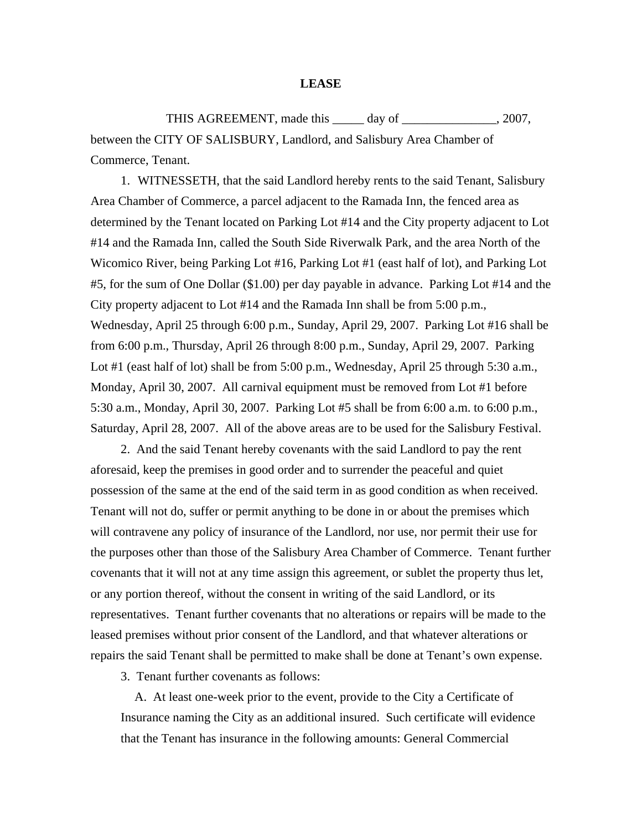## **LEASE**

THIS AGREEMENT, made this \_\_\_\_\_ day of \_\_\_\_\_\_\_\_\_\_\_\_\_\_, 2007, between the CITY OF SALISBURY, Landlord, and Salisbury Area Chamber of Commerce, Tenant.

1. WITNESSETH, that the said Landlord hereby rents to the said Tenant, Salisbury Area Chamber of Commerce, a parcel adjacent to the Ramada Inn, the fenced area as determined by the Tenant located on Parking Lot #14 and the City property adjacent to Lot #14 and the Ramada Inn, called the South Side Riverwalk Park, and the area North of the Wicomico River, being Parking Lot #16, Parking Lot #1 (east half of lot), and Parking Lot #5, for the sum of One Dollar (\$1.00) per day payable in advance. Parking Lot #14 and the City property adjacent to Lot #14 and the Ramada Inn shall be from 5:00 p.m., Wednesday, April 25 through 6:00 p.m., Sunday, April 29, 2007. Parking Lot #16 shall be from 6:00 p.m., Thursday, April 26 through 8:00 p.m., Sunday, April 29, 2007. Parking Lot #1 (east half of lot) shall be from 5:00 p.m., Wednesday, April 25 through 5:30 a.m., Monday, April 30, 2007. All carnival equipment must be removed from Lot #1 before 5:30 a.m., Monday, April 30, 2007. Parking Lot #5 shall be from 6:00 a.m. to 6:00 p.m., Saturday, April 28, 2007. All of the above areas are to be used for the Salisbury Festival.

2. And the said Tenant hereby covenants with the said Landlord to pay the rent aforesaid, keep the premises in good order and to surrender the peaceful and quiet possession of the same at the end of the said term in as good condition as when received. Tenant will not do, suffer or permit anything to be done in or about the premises which will contravene any policy of insurance of the Landlord, nor use, nor permit their use for the purposes other than those of the Salisbury Area Chamber of Commerce. Tenant further covenants that it will not at any time assign this agreement, or sublet the property thus let, or any portion thereof, without the consent in writing of the said Landlord, or its representatives. Tenant further covenants that no alterations or repairs will be made to the leased premises without prior consent of the Landlord, and that whatever alterations or repairs the said Tenant shall be permitted to make shall be done at Tenant's own expense.

3. Tenant further covenants as follows:

 A. At least one-week prior to the event, provide to the City a Certificate of Insurance naming the City as an additional insured. Such certificate will evidence that the Tenant has insurance in the following amounts: General Commercial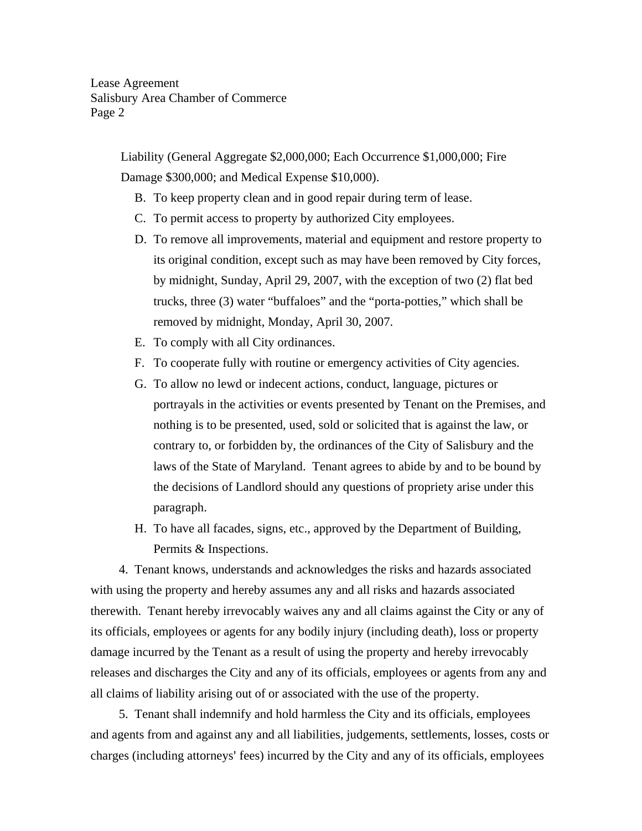Liability (General Aggregate \$2,000,000; Each Occurrence \$1,000,000; Fire Damage \$300,000; and Medical Expense \$10,000).

- B. To keep property clean and in good repair during term of lease.
- C. To permit access to property by authorized City employees.
- D. To remove all improvements, material and equipment and restore property to its original condition, except such as may have been removed by City forces, by midnight, Sunday, April 29, 2007, with the exception of two (2) flat bed trucks, three (3) water "buffaloes" and the "porta-potties," which shall be removed by midnight, Monday, April 30, 2007.
- E. To comply with all City ordinances.
- F. To cooperate fully with routine or emergency activities of City agencies.
- G. To allow no lewd or indecent actions, conduct, language, pictures or portrayals in the activities or events presented by Tenant on the Premises, and nothing is to be presented, used, sold or solicited that is against the law, or contrary to, or forbidden by, the ordinances of the City of Salisbury and the laws of the State of Maryland. Tenant agrees to abide by and to be bound by the decisions of Landlord should any questions of propriety arise under this paragraph.
- H. To have all facades, signs, etc., approved by the Department of Building, Permits & Inspections.

 4. Tenant knows, understands and acknowledges the risks and hazards associated with using the property and hereby assumes any and all risks and hazards associated therewith. Tenant hereby irrevocably waives any and all claims against the City or any of its officials, employees or agents for any bodily injury (including death), loss or property damage incurred by the Tenant as a result of using the property and hereby irrevocably releases and discharges the City and any of its officials, employees or agents from any and all claims of liability arising out of or associated with the use of the property.

 5. Tenant shall indemnify and hold harmless the City and its officials, employees and agents from and against any and all liabilities, judgements, settlements, losses, costs or charges (including attorneys' fees) incurred by the City and any of its officials, employees